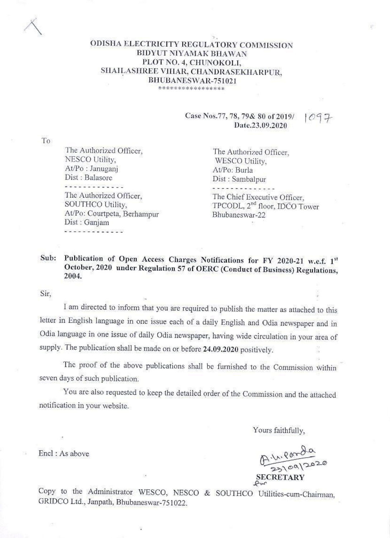# ODISHA ELECTRICITY REGULATORY COMMISSION BIDYUT NIYAMAK BHAWAN PLOT NO. 4, CHUNOKOLI, SHAILASHREE VIHAR, CHANDRASEKHARPUR, BHUBANESWAR-751021

\*\*\*\*\*\*\*\*\*\*\*\*\*\*\*\*\*

## Case Nos.77, 78, 79& 80 of 2019/ Date.23.09.2020

To

The Authorized Officer, NESCO Utility, At/Po: Januganj Dist: Balasore . . . . . . . . . . . . . The Authorized Officer, SOUTHCO Utility, At/Po: Courtpeta, Berhampur Dist: Ganjam 

The Authorized Officer. WESCO Utility, At/Po: Burla Dist: Sambalpur

The Chief Executive Officer, TPCODL, 2<sup>nd</sup> floor, IDCO Tower Bhubaneswar-22

#### Publication of Open Access Charges Notifications for FY 2020-21 w.e.f. 1st Sub: October, 2020 under Regulation 57 of OERC (Conduct of Business) Regulations, 2004.

Sir.

Encl: As above

I am directed to inform that you are required to publish the matter as attached to this letter in English language in one issue each of a daily English and Odia newspaper and in Odia language in one issue of daily Odia newspaper, having wide circulation in your area of supply. The publication shall be made on or before 24.09.2020 positively.

The proof of the above publications shall be furnished to the Commission within seven days of such publication.

You are also requested to keep the detailed order of the Commission and the attached notification in your website.

Yours faithfully,

A 11. Parda **SECRETARY** 

Copy to the Administrator WESCO, NESCO & SOUTHCO Utilities-cum-Chairman, GRIDCO Ltd., Janpath, Bhubaneswar-751022.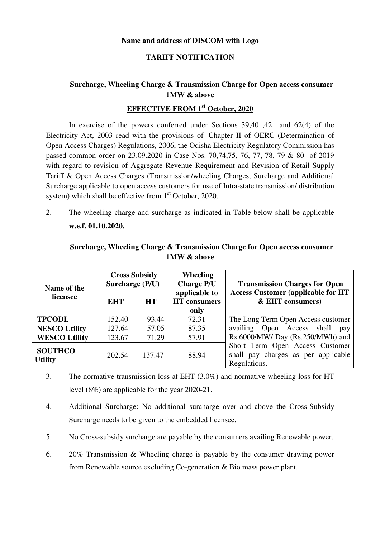#### **Name and address of DISCOM with Logo**

#### **TARIFF NOTIFICATION**

## **Surcharge, Wheeling Charge & Transmission Charge for Open access consumer 1MW & above**

## **EFFECTIVE FROM 1st October, 2020**

In exercise of the powers conferred under Sections 39,40 ,42 and 62(4) of the Electricity Act, 2003 read with the provisions of Chapter II of OERC (Determination of Open Access Charges) Regulations, 2006, the Odisha Electricity Regulatory Commission has passed common order on 23.09.2020 in Case Nos. 70,74,75, 76, 77, 78, 79 & 80 of 2019 with regard to revision of Aggregate Revenue Requirement and Revision of Retail Supply Tariff & Open Access Charges (Transmission/wheeling Charges, Surcharge and Additional Surcharge applicable to open access customers for use of Intra-state transmission/ distribution system) which shall be effective from  $1<sup>st</sup>$  October, 2020.

2. The wheeling charge and surcharge as indicated in Table below shall be applicable **w.e.f. 01.10.2020.**

| Name of the                      | <b>Cross Subsidy</b><br>Surcharge (P/U) |           | <b>Wheeling</b><br><b>Charge P/U</b>         | <b>Transmission Charges for Open</b>                                                   |
|----------------------------------|-----------------------------------------|-----------|----------------------------------------------|----------------------------------------------------------------------------------------|
| licensee                         | <b>EHT</b>                              | <b>HT</b> | applicable to<br><b>HT</b> consumers<br>only | <b>Access Customer (applicable for HT</b><br>& EHT consumers)                          |
| <b>TPCODL</b>                    | 152.40                                  | 93.44     | 72.31                                        | The Long Term Open Access customer                                                     |
| <b>NESCO Utility</b>             | 127.64                                  | 57.05     | 87.35                                        | availing Open Access shall<br>pay                                                      |
| <b>WESCO Utility</b>             | 123.67                                  | 71.29     | 57.91                                        | Rs.6000/MW/ Day (Rs.250/MWh) and                                                       |
| <b>SOUTHCO</b><br><b>Utility</b> | 202.54                                  | 137.47    | 88.94                                        | Short Term Open Access Customer<br>shall pay charges as per applicable<br>Regulations. |

## **Surcharge, Wheeling Charge & Transmission Charge for Open access consumer 1MW & above**

- 3. The normative transmission loss at EHT (3.0%) and normative wheeling loss for HT level (8%) are applicable for the year 2020-21.
- 4. Additional Surcharge: No additional surcharge over and above the Cross-Subsidy Surcharge needs to be given to the embedded licensee.
- 5. No Cross-subsidy surcharge are payable by the consumers availing Renewable power.
- 6. 20% Transmission & Wheeling charge is payable by the consumer drawing power from Renewable source excluding Co-generation & Bio mass power plant.